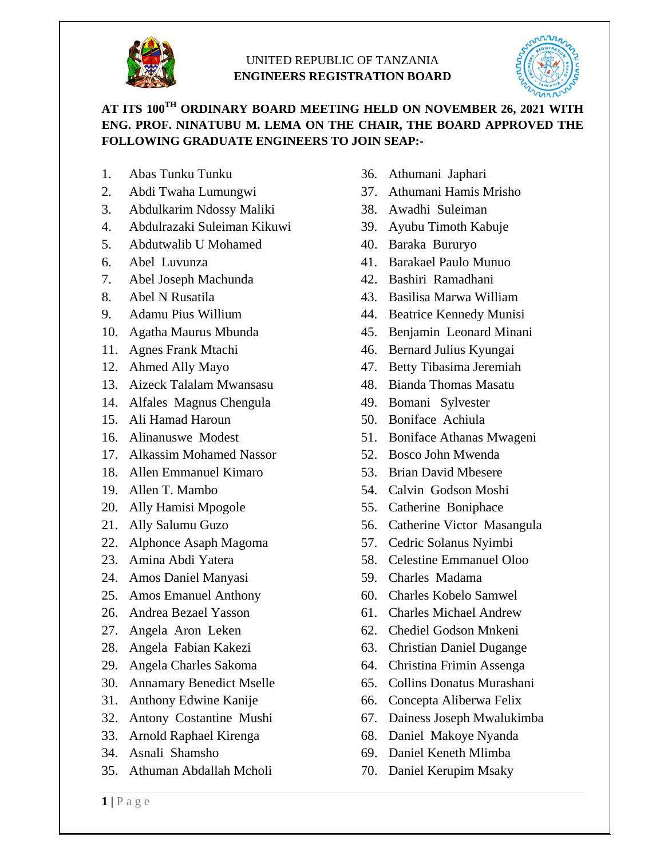

## UNITED REPUBLIC OF TANZANIA **ENGINEERS REGISTRATION BOARD**



## **AT ITS 100TH ORDINARY BOARD MEETING HELD ON NOVEMBER 26, 2021 WITH ENG. PROF. NINATUBU M. LEMA ON THE CHAIR, THE BOARD APPROVED THE FOLLOWING GRADUATE ENGINEERS TO JOIN SEAP:-**

- 1. Abas Tunku Tunku
- 2. Abdi Twaha Lumungwi
- 3. Abdulkarim Ndossy Maliki
- 4. Abdulrazaki Suleiman Kikuwi
- 5. Abdutwalib U Mohamed
- 6. Abel Luvunza
- 7. Abel Joseph Machunda
- 8. Abel N Rusatila
- 9. Adamu Pius Willium
- 10. Agatha Maurus Mbunda
- 11. Agnes Frank Mtachi
- 12. Ahmed Ally Mayo
- 13. Aizeck Talalam Mwansasu
- 14. Alfales Magnus Chengula
- 15. Ali Hamad Haroun
- 16. Alinanuswe Modest
- 17. Alkassim Mohamed Nassor
- 18. Allen Emmanuel Kimaro
- 19. Allen T. Mambo
- 20. Ally Hamisi Mpogole
- 21. Ally Salumu Guzo
- 22. Alphonce Asaph Magoma
- 23. Amina Abdi Yatera
- 24. Amos Daniel Manyasi
- 25. Amos Emanuel Anthony
- 26. Andrea Bezael Yasson
- 27. Angela Aron Leken
- 28. Angela Fabian Kakezi
- 29. Angela Charles Sakoma
- 30. Annamary Benedict Mselle
- 31. Anthony Edwine Kanije
- 32. Antony Costantine Mushi
- 33. Arnold Raphael Kirenga
- 34. Asnali Shamsho
- 35. Athuman Abdallah Mcholi
- 36. Athumani Japhari
- 37. Athumani Hamis Mrisho
- 38. Awadhi Suleiman
- 39. Ayubu Timoth Kabuje
- 40. Baraka Bururyo
- 41. Barakael Paulo Munuo
- 42. Bashiri Ramadhani
- 43. Basilisa Marwa William
- 44. Beatrice Kennedy Munisi
- 45. Benjamin Leonard Minani
- 46. Bernard Julius Kyungai
- 47. Betty Tibasima Jeremiah
- 48. Bianda Thomas Masatu
- 49. Bomani Sylvester
- 50. Boniface Achiula
- 51. Boniface Athanas Mwageni
- 52. Bosco John Mwenda
- 53. Brian David Mbesere
- 54. Calvin Godson Moshi
- 55. Catherine Boniphace
- 56. Catherine Victor Masangula
- 57. Cedric Solanus Nyimbi
- 58. Celestine Emmanuel Oloo
- 59. Charles Madama
- 60. Charles Kobelo Samwel
- 61. Charles Michael Andrew
- 62. Chediel Godson Mnkeni
- 63. Christian Daniel Dugange
- 64. Christina Frimin Assenga
- 65. Collins Donatus Murashani
- 66. Concepta Aliberwa Felix
- 67. Dainess Joseph Mwalukimba
- 68. Daniel Makoye Nyanda
- 69. Daniel Keneth Mlimba
- 70. Daniel Kerupim Msaky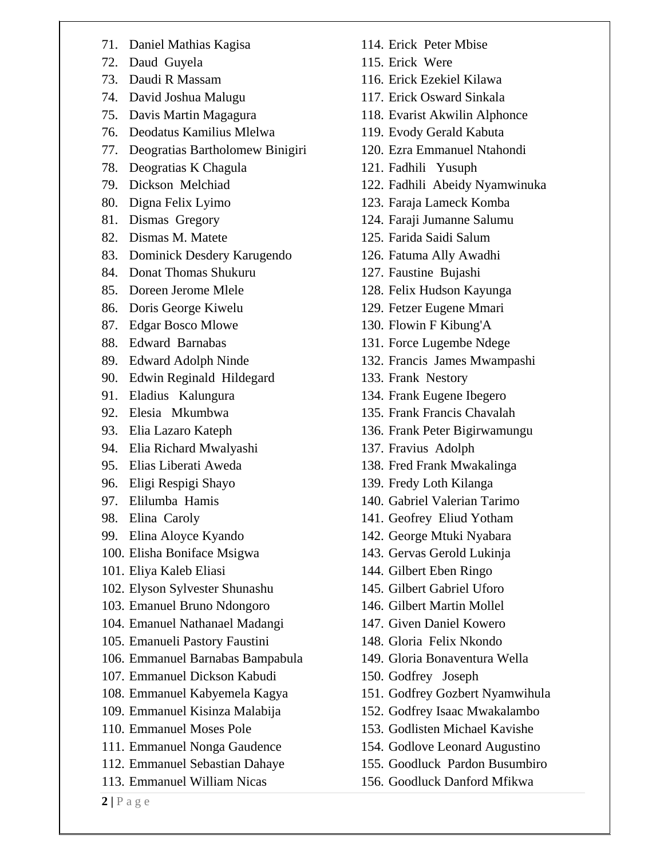- 71. Daniel Mathias Kagisa
- 72. Daud Guyela
- 73. Daudi R Massam
- 74. David Joshua Malugu
- 75. Davis Martin Magagura
- 76. Deodatus Kamilius Mlelwa
- 77. Deogratias Bartholomew Binigiri
- 78. Deogratias K Chagula
- 79. Dickson Melchiad
- 80. Digna Felix Lyimo
- 81. Dismas Gregory
- 82. Dismas M. Matete
- 83. Dominick Desdery Karugendo
- 84. Donat Thomas Shukuru
- 85. Doreen Jerome Mlele
- 86. Doris George Kiwelu
- 87. Edgar Bosco Mlowe
- 88. Edward Barnabas
- 89. Edward Adolph Ninde
- 90. Edwin Reginald Hildegard
- 91. Eladius Kalungura
- 92. Elesia Mkumbwa
- 93. Elia Lazaro Kateph
- 94. Elia Richard Mwalyashi
- 95. Elias Liberati Aweda
- 96. Eligi Respigi Shayo
- 97. Elilumba Hamis
- 98. Elina Caroly
- 99. Elina Aloyce Kyando
- 100. Elisha Boniface Msigwa
- 101. Eliya Kaleb Eliasi
- 102. Elyson Sylvester Shunashu
- 103. Emanuel Bruno Ndongoro
- 104. Emanuel Nathanael Madangi
- 105. Emanueli Pastory Faustini
- 106. Emmanuel Barnabas Bampabula
- 107. Emmanuel Dickson Kabudi
- 108. Emmanuel Kabyemela Kagya
- 109. Emmanuel Kisinza Malabija
- 110. Emmanuel Moses Pole
- 111. Emmanuel Nonga Gaudence
- 112. Emmanuel Sebastian Dahaye
- 113. Emmanuel William Nicas
- 114. Erick Peter Mbise
- 115. Erick Were
- 116. Erick Ezekiel Kilawa
- 117. Erick Osward Sinkala
- 118. Evarist Akwilin Alphonce
- 119. Evody Gerald Kabuta
- 120. Ezra Emmanuel Ntahondi
- 121. Fadhili Yusuph
- 122. Fadhili Abeidy Nyamwinuka
- 123. Faraja Lameck Komba
- 124. Faraji Jumanne Salumu
- 125. Farida Saidi Salum
- 126. Fatuma Ally Awadhi
- 127. Faustine Bujashi
- 128. Felix Hudson Kayunga
- 129. Fetzer Eugene Mmari
- 130. Flowin F Kibung'A
- 131. Force Lugembe Ndege
- 132. Francis James Mwampashi
- 133. Frank Nestory
- 134. Frank Eugene Ibegero
- 135. Frank Francis Chavalah
- 136. Frank Peter Bigirwamungu
- 137. Fravius Adolph
- 138. Fred Frank Mwakalinga
- 139. Fredy Loth Kilanga
- 140. Gabriel Valerian Tarimo
- 141. Geofrey Eliud Yotham
- 142. George Mtuki Nyabara
- 143. Gervas Gerold Lukinja
- 144. Gilbert Eben Ringo
- 145. Gilbert Gabriel Uforo
- 146. Gilbert Martin Mollel
- 147. Given Daniel Kowero
- 148. Gloria Felix Nkondo
- 149. Gloria Bonaventura Wella
- 150. Godfrey Joseph
- 151. Godfrey Gozbert Nyamwihula
- 152. Godfrey Isaac Mwakalambo
- 153. Godlisten Michael Kavishe
- 154. Godlove Leonard Augustino
- 155. Goodluck Pardon Busumbiro
- 156. Goodluck Danford Mfikwa

 $2|P$ age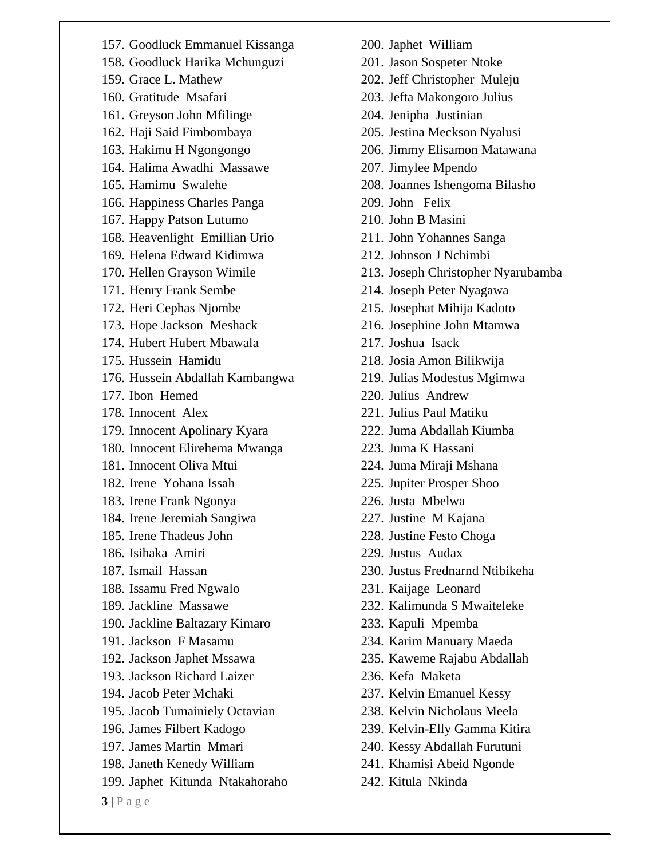157. Goodluck Emmanuel Kissanga 158. Goodluck Harika Mchunguzi 159. Grace L. Mathew 160. Gratitude Msafari 161. Greyson John Mfilinge 162. Haji Said Fimbombaya 163. Hakimu H Ngongongo 164. Halima Awadhi Massawe 165. Hamimu Swalehe 166. Happiness Charles Panga 167. Happy Patson Lutumo 168. Heavenlight Emillian Urio 169. Helena Edward Kidimwa 170. Hellen Grayson Wimile 171. Henry Frank Sembe 172. Heri Cephas Njombe 173. Hope Jackson Meshack 174. Hubert Hubert Mbawala 175. Hussein Hamidu 176. Hussein Abdallah Kambangwa 177. Ibon Hemed 178. Innocent Alex 179. Innocent Apolinary Kyara 180. Innocent Elirehema Mwanga 181. Innocent Oliva Mtui 182. Irene Yohana Issah 183. Irene Frank Ngonya 184. Irene Jeremiah Sangiwa 185. Irene Thadeus John 186. Isihaka Amiri 187. Ismail Hassan 188. Issamu Fred Ngwalo 189. Jackline Massawe 190. Jackline Baltazary Kimaro 191. Jackson F Masamu 192. Jackson Japhet Mssawa 193. Jackson Richard Laizer 194. Jacob Peter Mchaki 195. Jacob Tumainiely Octavian 196. James Filbert Kadogo 197. James Martin Mmari 198. Janeth Kenedy William 199. Japhet Kitunda Ntakahoraho

- 200. Japhet William
- 201. Jason Sospeter Ntoke
- 202. Jeff Christopher Muleju
- 203. Jefta Makongoro Julius
- 204. Jenipha Justinian
- 205. Jestina Meckson Nyalusi
- 206. Jimmy Elisamon Matawana
- 207. Jimylee Mpendo
- 208. Joannes Ishengoma Bilasho
- 209. John Felix
- 210. John B Masini
- 211. John Yohannes Sanga
- 212. Johnson J Nchimbi
- 213. Joseph Christopher Nyarubamba
- 214. Joseph Peter Nyagawa
- 215. Josephat Mihija Kadoto
- 216. Josephine John Mtamwa
- 217. Joshua Isack
- 218. Josia Amon Bilikwija
- 219. Julias Modestus Mgimwa
- 220. Julius Andrew
- 221. Julius Paul Matiku
- 222. Juma Abdallah Kiumba
- 223. Juma K Hassani
- 224. Juma Miraji Mshana
- 225. Jupiter Prosper Shoo
- 226. Justa Mbelwa
- 227. Justine M Kajana
- 228. Justine Festo Choga
- 229. Justus Audax
- 230. Justus Frednarnd Ntibikeha
- 231. Kaijage Leonard
- 232. Kalimunda S Mwaiteleke
- 233. Kapuli Mpemba
- 234. Karim Manuary Maeda
- 235. Kaweme Rajabu Abdallah
- 236. Kefa Maketa
- 237. Kelvin Emanuel Kessy
- 238. Kelvin Nicholaus Meela
- 239. Kelvin-Elly Gamma Kitira
- 240. Kessy Abdallah Furutuni
- 241. Khamisi Abeid Ngonde
- 242. Kitula Nkinda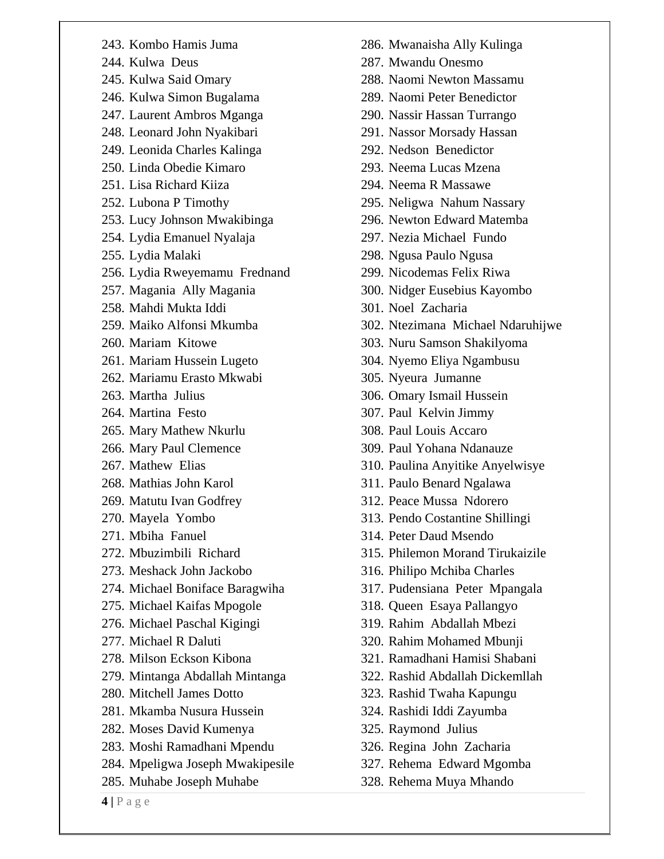|  | 243. Kombo Hamis Juma |  |  |
|--|-----------------------|--|--|
|--|-----------------------|--|--|

- 244. Kulwa Deus
- 245. Kulwa Said Omary
- 246. Kulwa Simon Bugalama
- 247. Laurent Ambros Mganga
- 248. Leonard John Nyakibari
- 249. Leonida Charles Kalinga
- 250. Linda Obedie Kimaro
- 251. Lisa Richard Kiiza
- 252. Lubona P Timothy
- 253. Lucy Johnson Mwakibinga
- 254. Lydia Emanuel Nyalaja
- 255. Lydia Malaki
- 256. Lydia Rweyemamu Frednand
- 257. Magania Ally Magania
- 258. Mahdi Mukta Iddi
- 259. Maiko Alfonsi Mkumba
- 260. Mariam Kitowe
- 261. Mariam Hussein Lugeto
- 262. Mariamu Erasto Mkwabi
- 263. Martha Julius
- 264. Martina Festo
- 265. Mary Mathew Nkurlu
- 266. Mary Paul Clemence
- 267. Mathew Elias
- 268. Mathias John Karol
- 269. Matutu Ivan Godfrey
- 270. Mayela Yombo
- 271. Mbiha Fanuel
- 272. Mbuzimbili Richard
- 273. Meshack John Jackobo
- 274. Michael Boniface Baragwiha
- 275. Michael Kaifas Mpogole
- 276. Michael Paschal Kigingi
- 277. Michael R Daluti
- 278. Milson Eckson Kibona
- 279. Mintanga Abdallah Mintanga
- 280. Mitchell James Dotto
- 281. Mkamba Nusura Hussein
- 282. Moses David Kumenya
- 283. Moshi Ramadhani Mpendu
- 284. Mpeligwa Joseph Mwakipesile
- 285. Muhabe Joseph Muhabe
- 286. Mwanaisha Ally Kulinga
- 287. Mwandu Onesmo
- 288. Naomi Newton Massamu
- 289. Naomi Peter Benedictor
- 290. Nassir Hassan Turrango
- 291. Nassor Morsady Hassan
- 292. Nedson Benedictor
- 293. Neema Lucas Mzena
- 294. Neema R Massawe
- 295. Neligwa Nahum Nassary
- 296. Newton Edward Matemba
- 297. Nezia Michael Fundo
- 298. Ngusa Paulo Ngusa
- 299. Nicodemas Felix Riwa
- 300. Nidger Eusebius Kayombo
- 301. Noel Zacharia
- 302. Ntezimana Michael Ndaruhijwe
- 303. Nuru Samson Shakilyoma
- 304. Nyemo Eliya Ngambusu
- 305. Nyeura Jumanne
- 306. Omary Ismail Hussein
- 307. Paul Kelvin Jimmy
- 308. Paul Louis Accaro
- 309. Paul Yohana Ndanauze
- 310. Paulina Anyitike Anyelwisye
- 311. Paulo Benard Ngalawa
- 312. Peace Mussa Ndorero
- 313. Pendo Costantine Shillingi
- 314. Peter Daud Msendo
- 315. Philemon Morand Tirukaizile
- 316. Philipo Mchiba Charles
- 317. Pudensiana Peter Mpangala
- 318. Queen Esaya Pallangyo
- 319. Rahim Abdallah Mbezi
- 320. Rahim Mohamed Mbunji
- 321. Ramadhani Hamisi Shabani
- 322. Rashid Abdallah Dickemllah
- 323. Rashid Twaha Kapungu
- 324. Rashidi Iddi Zayumba
- 325. Raymond Julius
- 326. Regina John Zacharia
- 327. Rehema Edward Mgomba
- 328. Rehema Muya Mhando